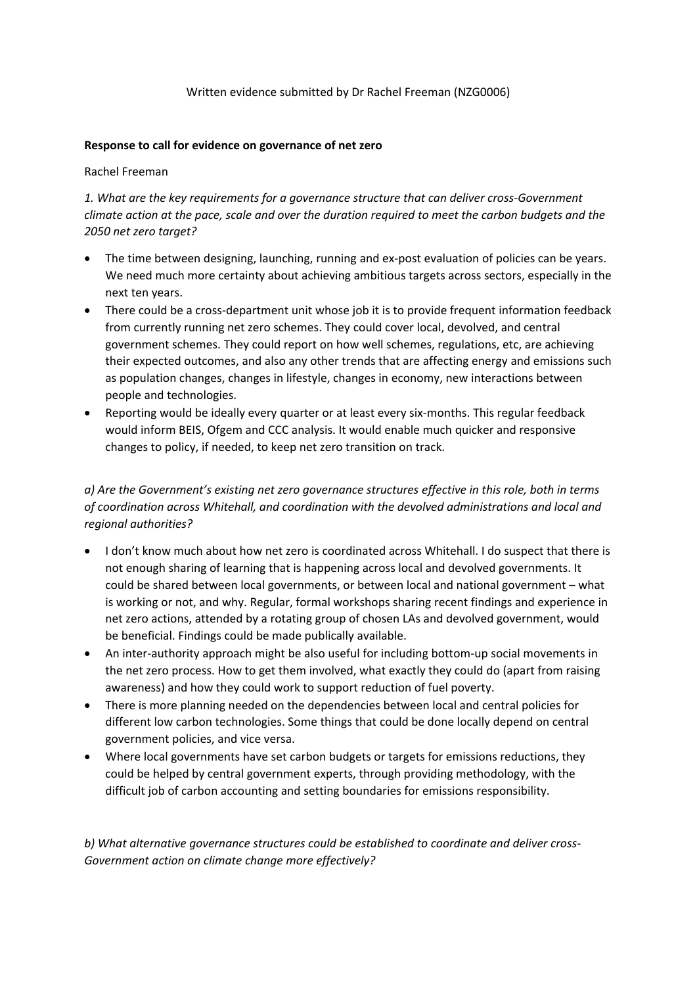### Written evidence submitted by Dr Rachel Freeman (NZG0006)

### **Response to call for evidence on governance of net zero**

### Rachel Freeman

*1. What are the key requirements for a governance structure that can deliver cross-Government* climate action at the pace, scale and over the duration required to meet the carbon budgets and the *2050 net zero target?*

- The time between designing, launching, running and ex-post evaluation of policies can be years. We need much more certainty about achieving ambitious targets across sectors, especially in the next ten years.
- There could be a cross-department unit whose job it is to provide frequent information feedback from currently running net zero schemes. They could cover local, devolved, and central government schemes. They could report on how well schemes, regulations, etc, are achieving their expected outcomes, and also any other trends that are affecting energy and emissions such as population changes, changes in lifestyle, changes in economy, new interactions between people and technologies.
- Reporting would be ideally every quarter or at least every six-months. This regular feedback would inform BEIS, Ofgem and CCC analysis. It would enable much quicker and responsive changes to policy, if needed, to keep net zero transition on track.

# *a) Are the Government's existing net zero governance structures effective in this role, both in terms of coordination across Whitehall, and coordination with the devolved administrations and local and regional authorities?*

- I don't know much about how net zero is coordinated across Whitehall. I do suspect that there is not enough sharing of learning that is happening across local and devolved governments. It could be shared between local governments, or between local and national government – what is working or not, and why. Regular, formal workshops sharing recent findings and experience in net zero actions, attended by a rotating group of chosen LAs and devolved government, would be beneficial. Findings could be made publically available.
- An inter-authority approach might be also useful for including bottom-up social movements in the net zero process. How to get them involved, what exactly they could do (apart from raising awareness) and how they could work to support reduction of fuel poverty.
- There is more planning needed on the dependencies between local and central policies for different low carbon technologies. Some things that could be done locally depend on central government policies, and vice versa.
- Where local governments have set carbon budgets or targets for emissions reductions, they could be helped by central government experts, through providing methodology, with the difficult job of carbon accounting and setting boundaries for emissions responsibility.

*b) What alternative governance structures could be established to coordinate and deliver cross-Government action on climate change more effectively?*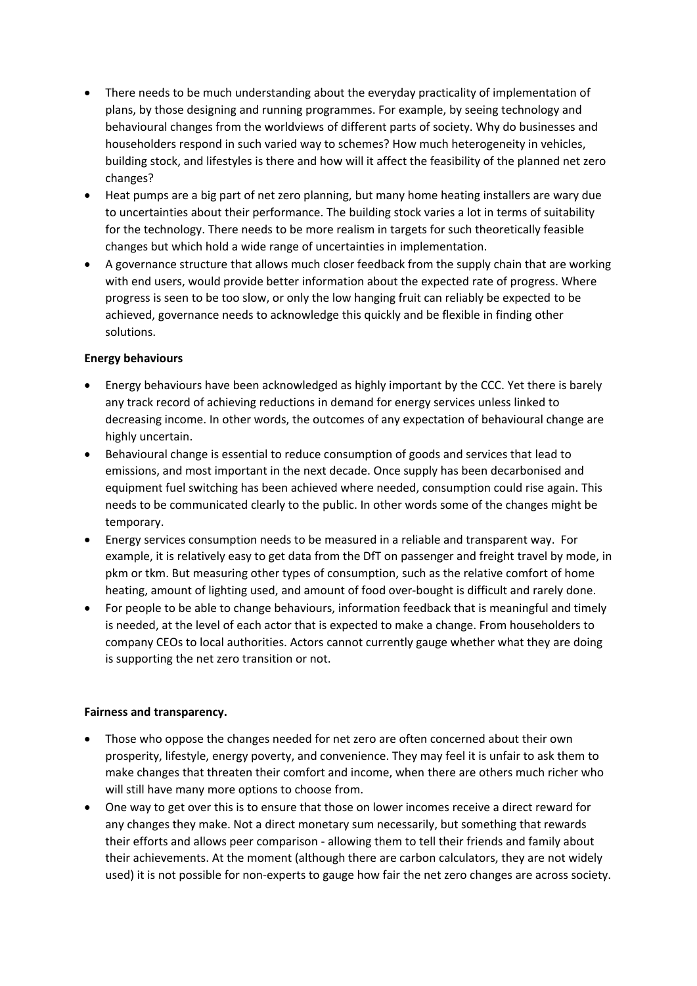- There needs to be much understanding about the everyday practicality of implementation of plans, by those designing and running programmes. For example, by seeing technology and behavioural changes from the worldviews of different parts of society. Why do businesses and householders respond in such varied way to schemes? How much heterogeneity in vehicles, building stock, and lifestyles is there and how will it affect the feasibility of the planned net zero changes?
- Heat pumps are a big part of net zero planning, but many home heating installers are wary due to uncertainties about their performance. The building stock varies a lot in terms of suitability for the technology. There needs to be more realism in targets for such theoretically feasible changes but which hold a wide range of uncertainties in implementation.
- A governance structure that allows much closer feedback from the supply chain that are working with end users, would provide better information about the expected rate of progress. Where progress is seen to be too slow, or only the low hanging fruit can reliably be expected to be achieved, governance needs to acknowledge this quickly and be flexible in finding other solutions.

## **Energy behaviours**

- Energy behaviours have been acknowledged as highly important by the CCC. Yet there is barely any track record of achieving reductions in demand for energy services unless linked to decreasing income. In other words, the outcomes of any expectation of behavioural change are highly uncertain.
- Behavioural change is essential to reduce consumption of goods and services that lead to emissions, and most important in the next decade. Once supply has been decarbonised and equipment fuel switching has been achieved where needed, consumption could rise again. This needs to be communicated clearly to the public. In other words some of the changes might be temporary.
- Energy services consumption needs to be measured in a reliable and transparent way. For example, it is relatively easy to get data from the DfT on passenger and freight travel by mode, in pkm or tkm. But measuring other types of consumption, such as the relative comfort of home heating, amount of lighting used, and amount of food over-bought is difficult and rarely done.
- For people to be able to change behaviours, information feedback that is meaningful and timely is needed, at the level of each actor that is expected to make a change. From householders to company CEOs to local authorities. Actors cannot currently gauge whether what they are doing is supporting the net zero transition or not.

#### **Fairness and transparency.**

- Those who oppose the changes needed for net zero are often concerned about their own prosperity, lifestyle, energy poverty, and convenience. They may feel it is unfair to ask them to make changes that threaten their comfort and income, when there are others much richer who will still have many more options to choose from.
- One way to get over this is to ensure that those on lower incomes receive a direct reward for any changes they make. Not a direct monetary sum necessarily, but something that rewards their efforts and allows peer comparison - allowing them to tell their friends and family about their achievements. At the moment (although there are carbon calculators, they are not widely used) it is not possible for non-experts to gauge how fair the net zero changes are across society.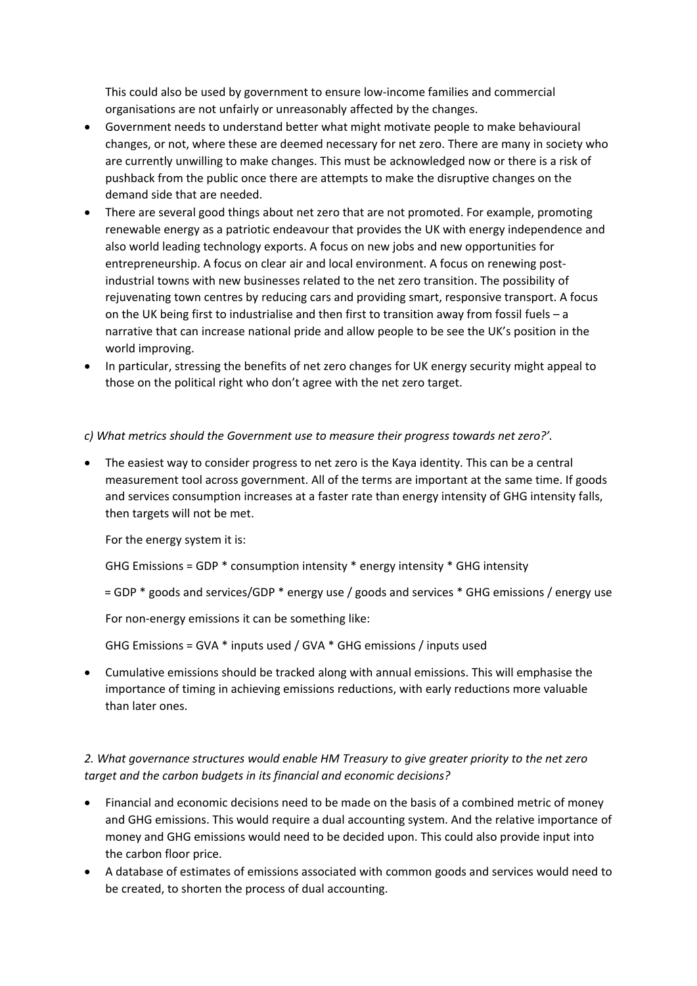This could also be used by government to ensure low-income families and commercial organisations are not unfairly or unreasonably affected by the changes.

- Government needs to understand better what might motivate people to make behavioural changes, or not, where these are deemed necessary for net zero. There are many in society who are currently unwilling to make changes. This must be acknowledged now or there is a risk of pushback from the public once there are attempts to make the disruptive changes on the demand side that are needed.
- There are several good things about net zero that are not promoted. For example, promoting renewable energy as a patriotic endeavour that provides the UK with energy independence and also world leading technology exports. A focus on new jobs and new opportunities for entrepreneurship. A focus on clear air and local environment. A focus on renewing postindustrial towns with new businesses related to the net zero transition. The possibility of rejuvenating town centres by reducing cars and providing smart, responsive transport. A focus on the UK being first to industrialise and then first to transition away from fossil fuels – a narrative that can increase national pride and allow people to be see the UK's position in the world improving.
- In particular, stressing the benefits of net zero changes for UK energy security might appeal to those on the political right who don't agree with the net zero target.

*c) What metrics should the Government use to measure their progress towards net zero?'.*

 The easiest way to consider progress to net zero is the Kaya identity. This can be a central measurement tool across government. All of the terms are important at the same time. If goods and services consumption increases at a faster rate than energy intensity of GHG intensity falls, then targets will not be met.

For the energy system it is:

GHG Emissions = GDP \* consumption intensity \* energy intensity \* GHG intensity

= GDP \* goods and services/GDP \* energy use / goods and services \* GHG emissions / energy use

For non-energy emissions it can be something like:

GHG Emissions = GVA \* inputs used / GVA \* GHG emissions / inputs used

 Cumulative emissions should be tracked along with annual emissions. This will emphasise the importance of timing in achieving emissions reductions, with early reductions more valuable than later ones.

## *2. What governance structures would enable HM Treasury to give greater priority to the net zero target and the carbon budgets in its financial and economic decisions?*

- Financial and economic decisions need to be made on the basis of a combined metric of money and GHG emissions. This would require a dual accounting system. And the relative importance of money and GHG emissions would need to be decided upon. This could also provide input into the carbon floor price.
- A database of estimates of emissions associated with common goods and services would need to be created, to shorten the process of dual accounting.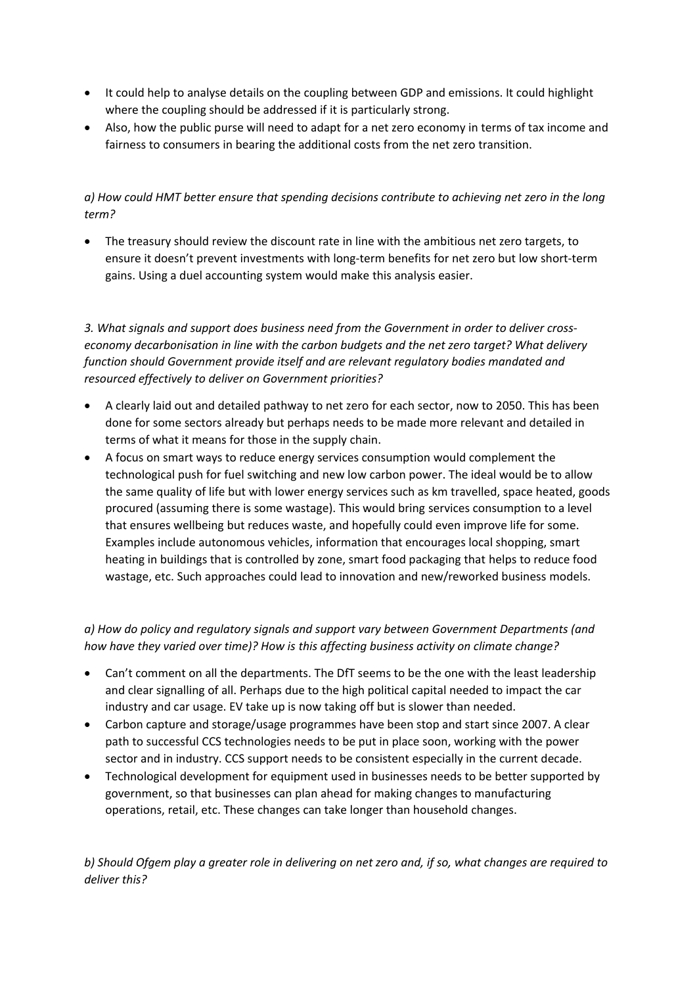- It could help to analyse details on the coupling between GDP and emissions. It could highlight where the coupling should be addressed if it is particularly strong.
- Also, how the public purse will need to adapt for a net zero economy in terms of tax income and fairness to consumers in bearing the additional costs from the net zero transition.

## *a) How could HMT better ensure that spending decisions contribute to achieving net zero in the long term?*

 The treasury should review the discount rate in line with the ambitious net zero targets, to ensure it doesn't prevent investments with long-term benefits for net zero but low short-term gains. Using a duel accounting system would make this analysis easier.

*3. What signals and support does business need from the Government in order to deliver crosseconomy decarbonisation in line with the carbon budgets and the net zero target? What delivery function should Government provide itself and are relevant regulatory bodies mandated and resourced effectively to deliver on Government priorities?*

- A clearly laid out and detailed pathway to net zero for each sector, now to 2050. This has been done for some sectors already but perhaps needs to be made more relevant and detailed in terms of what it means for those in the supply chain.
- A focus on smart ways to reduce energy services consumption would complement the technological push for fuel switching and new low carbon power. The ideal would be to allow the same quality of life but with lower energy services such as km travelled, space heated, goods procured (assuming there is some wastage). This would bring services consumption to a level that ensures wellbeing but reduces waste, and hopefully could even improve life for some. Examples include autonomous vehicles, information that encourages local shopping, smart heating in buildings that is controlled by zone, smart food packaging that helps to reduce food wastage, etc. Such approaches could lead to innovation and new/reworked business models.

# *a) How do policy and regulatory signals and support vary between Government Departments (and how have they varied over time)? How is this affecting business activity on climate change?*

- Can't comment on all the departments. The DfT seems to be the one with the least leadership and clear signalling of all. Perhaps due to the high political capital needed to impact the car industry and car usage. EV take up is now taking off but is slower than needed.
- Carbon capture and storage/usage programmes have been stop and start since 2007. A clear path to successful CCS technologies needs to be put in place soon, working with the power sector and in industry. CCS support needs to be consistent especially in the current decade.
- Technological development for equipment used in businesses needs to be better supported by government, so that businesses can plan ahead for making changes to manufacturing operations, retail, etc. These changes can take longer than household changes.

b) Should Ofgem play a greater role in delivering on net zero and, if so, what changes are required to *deliver this?*